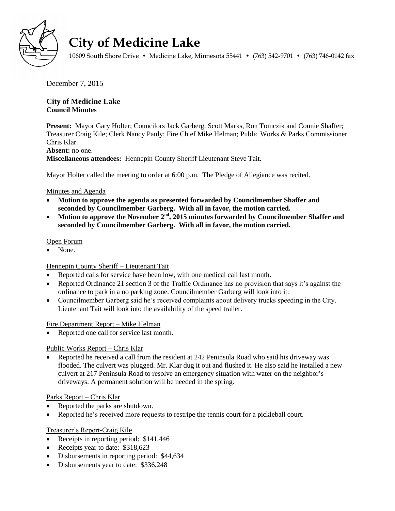

# **City of Medicine Lake**

10609 South Shore Drive • Medicine Lake, Minnesota 55441 • (763) 542-9701 • (763) 746-0142 fax

December 7, 2015

## **City of Medicine Lake Council Minutes**

**Present:** Mayor Gary Holter; Councilors Jack Garberg, Scott Marks, Ron Tomczik and Connie Shaffer; Treasurer Craig Kile; Clerk Nancy Pauly; Fire Chief Mike Helman; Public Works & Parks Commissioner Chris Klar.

## **Absent:** no one.

**Miscellaneous attendees:** Hennepin County Sheriff Lieutenant Steve Tait.

Mayor Holter called the meeting to order at 6:00 p.m. The Pledge of Allegiance was recited.

## Minutes and Agenda

- **Motion to approve the agenda as presented forwarded by Councilmember Shaffer and seconded by Councilmember Garberg. With all in favor, the motion carried.**
- Motion to approve the November 2<sup>nd</sup>, 2015 minutes forwarded by Councilmember Shaffer and **seconded by Councilmember Garberg. With all in favor, the motion carried.**

## Open Forum

None.

## Hennepin County Sheriff – Lieutenant Tait

- Reported calls for service have been low, with one medical call last month.
- Reported Ordinance 21 section 3 of the Traffic Ordinance has no provision that says it's against the ordinance to park in a no parking zone. Councilmember Garberg will look into it.
- Councilmember Garberg said he's received complaints about delivery trucks speeding in the City. Lieutenant Tait will look into the availability of the speed trailer.

## Fire Department Report – Mike Helman

Reported one call for service last month.

## Public Works Report – Chris Klar

• Reported he received a call from the resident at 242 Peninsula Road who said his driveway was flooded. The culvert was plugged. Mr. Klar dug it out and flushed it. He also said he installed a new culvert at 217 Peninsula Road to resolve an emergency situation with water on the neighbor's driveways. A permanent solution will be needed in the spring.

## Parks Report – Chris Klar

- Reported the parks are shutdown.
- Reported he's received more requests to restripe the tennis court for a pickleball court.

## Treasurer's Report-Craig Kile

- Receipts in reporting period: \$141,446
- Receipts year to date: \$318,623
- Disbursements in reporting period: \$44,634
- Disbursements year to date: \$336,248